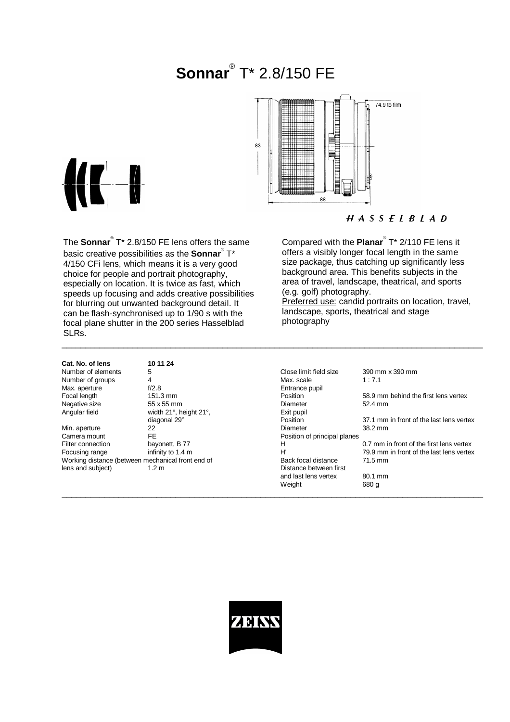# **Sonnar**® T\* 2.8/150 FE

\_\_\_\_\_\_\_\_\_\_\_\_\_\_\_\_\_\_\_\_\_\_\_\_\_\_\_\_\_\_\_\_\_\_\_\_\_\_\_\_\_\_\_\_\_\_\_\_\_\_\_\_\_\_\_\_\_\_\_\_\_\_\_\_\_\_\_\_\_\_\_\_\_\_\_\_\_\_\_\_\_\_\_\_\_\_\_\_\_



 $H A S S E L B L A D$ 

The **Sonnar**® T\* 2.8/150 FE lens offers the same basic creative possibilities as the **Sonnar**® T\* 4/150 CFi lens, which means it is a very good choice for people and portrait photography, especially on location. It is twice as fast, which speeds up focusing and adds creative possibilities for blurring out unwanted background detail. It can be flash-synchronised up to 1/90 s with the focal plane shutter in the 200 series Hasselblad SLRs.

Compared with the **Planar**® T\* 2/110 FE lens it offers a visibly longer focal length in the same size package, thus catching up significantly less background area. This benefits subjects in the area of travel, landscape, theatrical, and sports (e.g. golf) photography. Preferred use: candid portraits on location, travel, landscape, sports, theatrical and stage photography

| Cat. No. of lens                                  | 10 11 24               |                              |            |
|---------------------------------------------------|------------------------|------------------------------|------------|
| Number of elements                                | 5                      | Close limit field size       | 390 mm     |
| Number of groups                                  | 4                      | Max. scale                   | 1:7.1      |
| Max. aperture                                     | f/2.8                  | Entrance pupil               |            |
| Focal length                                      | 151.3 mm               | Position                     | 58.9 mm    |
| Negative size                                     | 55 x 55 mm             | Diameter                     | 52.4 mm    |
| Angular field                                     | width 21°, height 21°, | Exit pupil                   |            |
|                                                   | diagonal 29°           | Position                     | 37.1 mm    |
| Min. aperture                                     | 22                     | Diameter                     | 38.2 mm    |
| Camera mount                                      | <b>FE</b>              | Position of principal planes |            |
| Filter connection                                 | bayonett, B 77         | н                            | $0.7$ mm i |
| Focusing range                                    | infinity to 1.4 m      | H                            | 79.9 mm    |
| Working distance (between mechanical front end of |                        | Back focal distance          | 71.5 mm    |
| المستقاط والمستسلم والمستقرات<br>$\sim$ $\sim$    |                        | Pilatan an batrican first    |            |

**KC-0** 

Close limit field size  $390$  mm x 390 mm<br>Max. scale  $1:7.1$ Entrance pupil<br>Position 58.9 mm behind the first lens vertex Position<br>
29° 27.1 mm in front of the last lens vertex<br>
Diameter 28.2 mm Position of principal planes<br>
H Fig. 2.7 mm in front of the first lens vertex For a Focusing range in the 1.4 m and of the 1.4 mm in front of the last lens vertex<br>For the distance the 1.4 mm in front of the last lens vertex Back focal distance lens and subject) and  $1.2 \text{ m}$  and  $1.2 \text{ m}$  Distance between first and last lens vertex 80.1 mm<br>Weight 680 g Weight  $\_$  ,  $\_$  ,  $\_$  ,  $\_$  ,  $\_$  ,  $\_$  ,  $\_$  ,  $\_$  ,  $\_$  ,  $\_$  ,  $\_$  ,  $\_$  ,  $\_$  ,  $\_$  ,  $\_$  ,  $\_$  ,  $\_$  ,  $\_$  ,  $\_$  ,  $\_$  ,  $\_$  ,  $\_$  ,  $\_$  ,  $\_$  ,  $\_$  ,  $\_$  ,  $\_$  ,  $\_$  ,  $\_$  ,  $\_$  ,  $\_$  ,  $\_$  ,  $\_$  ,  $\_$  ,  $\_$  ,  $\_$  ,  $\_$  ,